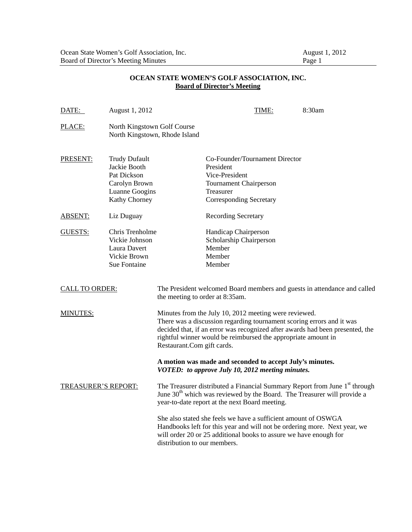## **OCEAN STATE WOMEN'S GOLF ASSOCIATION, INC. Board of Director's Meeting**

| DATE:                      | August 1, 2012                                                                                                 |                                                                                                                                                                                                                                                                                                                |                                                                                                                                        | TIME: | 8:30am                                                                                                                                                                        |
|----------------------------|----------------------------------------------------------------------------------------------------------------|----------------------------------------------------------------------------------------------------------------------------------------------------------------------------------------------------------------------------------------------------------------------------------------------------------------|----------------------------------------------------------------------------------------------------------------------------------------|-------|-------------------------------------------------------------------------------------------------------------------------------------------------------------------------------|
| PLACE:                     | North Kingstown Golf Course<br>North Kingstown, Rhode Island                                                   |                                                                                                                                                                                                                                                                                                                |                                                                                                                                        |       |                                                                                                                                                                               |
| PRESENT:                   | <b>Trudy Dufault</b><br>Jackie Booth<br>Pat Dickson<br>Carolyn Brown<br>Luanne Googins<br><b>Kathy Chorney</b> |                                                                                                                                                                                                                                                                                                                | Co-Founder/Tournament Director<br>President<br>Vice-President<br>Tournament Chairperson<br>Treasurer<br><b>Corresponding Secretary</b> |       |                                                                                                                                                                               |
| <b>ABSENT:</b>             | Liz Duguay                                                                                                     |                                                                                                                                                                                                                                                                                                                | <b>Recording Secretary</b>                                                                                                             |       |                                                                                                                                                                               |
| GUESTS:                    | Chris Trenholme<br>Vickie Johnson<br>Laura Davert<br>Vickie Brown<br>Sue Fontaine                              |                                                                                                                                                                                                                                                                                                                | Handicap Chairperson<br>Scholarship Chairperson<br>Member<br>Member<br>Member                                                          |       |                                                                                                                                                                               |
| <b>CALL TO ORDER:</b>      |                                                                                                                | The President welcomed Board members and guests in attendance and called<br>the meeting to order at 8:35am.                                                                                                                                                                                                    |                                                                                                                                        |       |                                                                                                                                                                               |
| <b>MINUTES:</b>            |                                                                                                                | Minutes from the July 10, 2012 meeting were reviewed.<br>There was a discussion regarding tournament scoring errors and it was<br>decided that, if an error was recognized after awards had been presented, the<br>rightful winner would be reimbursed the appropriate amount in<br>Restaurant.Com gift cards. |                                                                                                                                        |       |                                                                                                                                                                               |
|                            |                                                                                                                |                                                                                                                                                                                                                                                                                                                | A motion was made and seconded to accept July's minutes.<br>VOTED: to approve July 10, 2012 meeting minutes.                           |       |                                                                                                                                                                               |
| <b>TREASURER'S REPORT:</b> |                                                                                                                |                                                                                                                                                                                                                                                                                                                | year-to-date report at the next Board meeting.                                                                                         |       | The Treasurer distributed a Financial Summary Report from June 1 <sup>st</sup> through<br>June 30 <sup>th</sup> which was reviewed by the Board. The Treasurer will provide a |
|                            |                                                                                                                | distribution to our members.                                                                                                                                                                                                                                                                                   | She also stated she feels we have a sufficient amount of OSWGA<br>will order 20 or 25 additional books to assure we have enough for    |       | Handbooks left for this year and will not be ordering more. Next year, we                                                                                                     |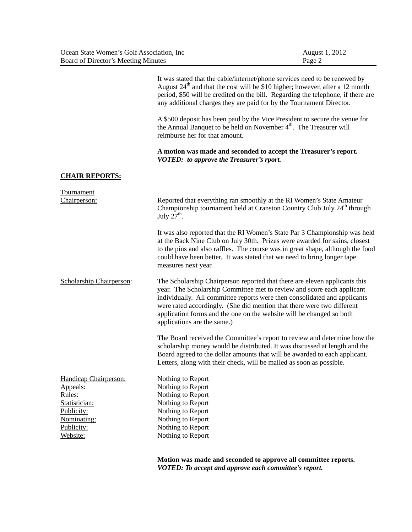| Ocean State Women's Golf Association, Inc. | August 1, 2012 |
|--------------------------------------------|----------------|
| Board of Director's Meeting Minutes        | Page 2         |

It was stated that the cable/internet/phone services need to be renewed by August  $24<sup>th</sup>$  and that the cost will be \$10 higher; however, after a 12 month period, \$50 will be credited on the bill. Regarding the telephone, if there are any additional charges they are paid for by the Tournament Director.

A \$500 deposit has been paid by the Vice President to secure the venue for the Annual Banquet to be held on November 4<sup>th</sup>. The Treasurer will reimburse her for that amount.

**A motion was made and seconded to accept the Treasurer's report.**  *VOTED: to approve the Treasurer's rport.* 

## **CHAIR REPORTS:**

| Tournament                      |                                                                                                                                                                                                                                                                                                                                                                                                                    |
|---------------------------------|--------------------------------------------------------------------------------------------------------------------------------------------------------------------------------------------------------------------------------------------------------------------------------------------------------------------------------------------------------------------------------------------------------------------|
| Chairperson:                    | Reported that everything ran smoothly at the RI Women's State Amateur<br>Championship tournament held at Cranston Country Club July 24 <sup>th</sup> through<br>July $27th$ .                                                                                                                                                                                                                                      |
|                                 | It was also reported that the RI Women's State Par 3 Championship was held<br>at the Back Nine Club on July 30th. Prizes were awarded for skins, closest<br>to the pins and also raffles. The course was in great shape, although the food<br>could have been better. It was stated that we need to bring longer tape<br>measures next year.                                                                       |
| <b>Scholarship Chairperson:</b> | The Scholarship Chairperson reported that there are eleven applicants this<br>year. The Scholarship Committee met to review and score each applicant<br>individually. All committee reports were then consolidated and applicants<br>were rated accordingly. (She did mention that there were two different<br>application forms and the one on the website will be changed so both<br>applications are the same.) |
|                                 | The Board received the Committee's report to review and determine how the<br>scholarship money would be distributed. It was discussed at length and the<br>Board agreed to the dollar amounts that will be awarded to each applicant.<br>Letters, along with their check, will be mailed as soon as possible.                                                                                                      |
| Handicap Chairperson:           | Nothing to Report                                                                                                                                                                                                                                                                                                                                                                                                  |
| Appeals:                        | Nothing to Report                                                                                                                                                                                                                                                                                                                                                                                                  |
| Rules:                          | Nothing to Report                                                                                                                                                                                                                                                                                                                                                                                                  |
| Statistician:                   | Nothing to Report                                                                                                                                                                                                                                                                                                                                                                                                  |
| Publicity:                      | Nothing to Report                                                                                                                                                                                                                                                                                                                                                                                                  |
| Nominating:                     | Nothing to Report                                                                                                                                                                                                                                                                                                                                                                                                  |
| Publicity:                      | Nothing to Report                                                                                                                                                                                                                                                                                                                                                                                                  |
| Website:                        | Nothing to Report                                                                                                                                                                                                                                                                                                                                                                                                  |

**Motion was made and seconded to approve all committee reports.**  *VOTED: To accept and approve each committee's report.*